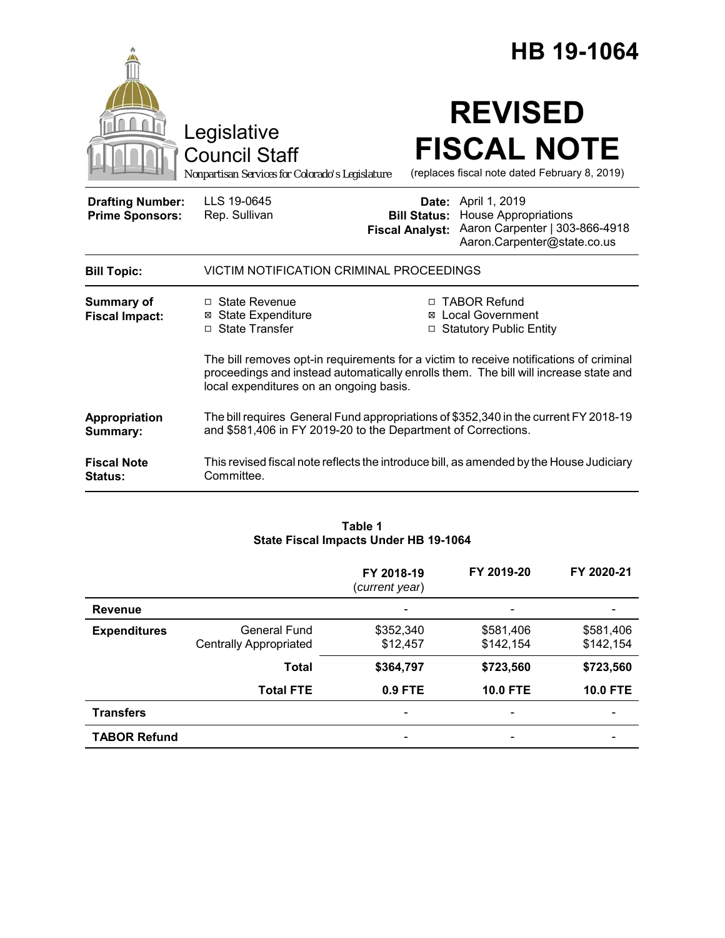|                                                   |                                                                                                                                                                                                                           | HB 19-1064                                                             |                                                                                                                     |  |
|---------------------------------------------------|---------------------------------------------------------------------------------------------------------------------------------------------------------------------------------------------------------------------------|------------------------------------------------------------------------|---------------------------------------------------------------------------------------------------------------------|--|
|                                                   | Legislative<br><b>Council Staff</b><br>Nonpartisan Services for Colorado's Legislature                                                                                                                                    |                                                                        | <b>REVISED</b><br><b>FISCAL NOTE</b><br>(replaces fiscal note dated February 8, 2019)                               |  |
| <b>Drafting Number:</b><br><b>Prime Sponsors:</b> | LLS 19-0645<br>Rep. Sullivan                                                                                                                                                                                              | <b>Bill Status:</b><br><b>Fiscal Analyst:</b>                          | Date: April 1, 2019<br><b>House Appropriations</b><br>Aaron Carpenter   303-866-4918<br>Aaron.Carpenter@state.co.us |  |
| <b>Bill Topic:</b>                                | VICTIM NOTIFICATION CRIMINAL PROCEEDINGS                                                                                                                                                                                  |                                                                        |                                                                                                                     |  |
| <b>Summary of</b><br><b>Fiscal Impact:</b>        | □ State Revenue<br><b>⊠</b> State Expenditure<br>□ State Transfer                                                                                                                                                         | □ TABOR Refund<br>⊠ Local Government<br><b>Statutory Public Entity</b> |                                                                                                                     |  |
|                                                   | The bill removes opt-in requirements for a victim to receive notifications of criminal<br>proceedings and instead automatically enrolls them. The bill will increase state and<br>local expenditures on an ongoing basis. |                                                                        |                                                                                                                     |  |
| Appropriation<br>Summary:                         | The bill requires General Fund appropriations of \$352,340 in the current FY 2018-19<br>and \$581,406 in FY 2019-20 to the Department of Corrections.                                                                     |                                                                        |                                                                                                                     |  |
| <b>Fiscal Note</b><br><b>Status:</b>              | This revised fiscal note reflects the introduce bill, as amended by the House Judiciary<br>Committee.                                                                                                                     |                                                                        |                                                                                                                     |  |

## **Table 1 State Fiscal Impacts Under HB 19-1064**

|                     |                                                      | FY 2018-19<br>(current year) | FY 2019-20                   | FY 2020-21             |
|---------------------|------------------------------------------------------|------------------------------|------------------------------|------------------------|
| <b>Revenue</b>      |                                                      |                              |                              |                        |
| <b>Expenditures</b> | <b>General Fund</b><br><b>Centrally Appropriated</b> | \$352,340<br>\$12,457        | \$581,406<br>\$142,154       | \$581,406<br>\$142,154 |
|                     | <b>Total</b>                                         | \$364,797                    | \$723,560                    | \$723,560              |
|                     | <b>Total FTE</b>                                     | 0.9 FTE                      | <b>10.0 FTE</b>              | <b>10.0 FTE</b>        |
| <b>Transfers</b>    |                                                      | ٠                            | $\overline{\phantom{a}}$     |                        |
| <b>TABOR Refund</b> |                                                      | $\qquad \qquad \blacksquare$ | $\qquad \qquad \blacksquare$ |                        |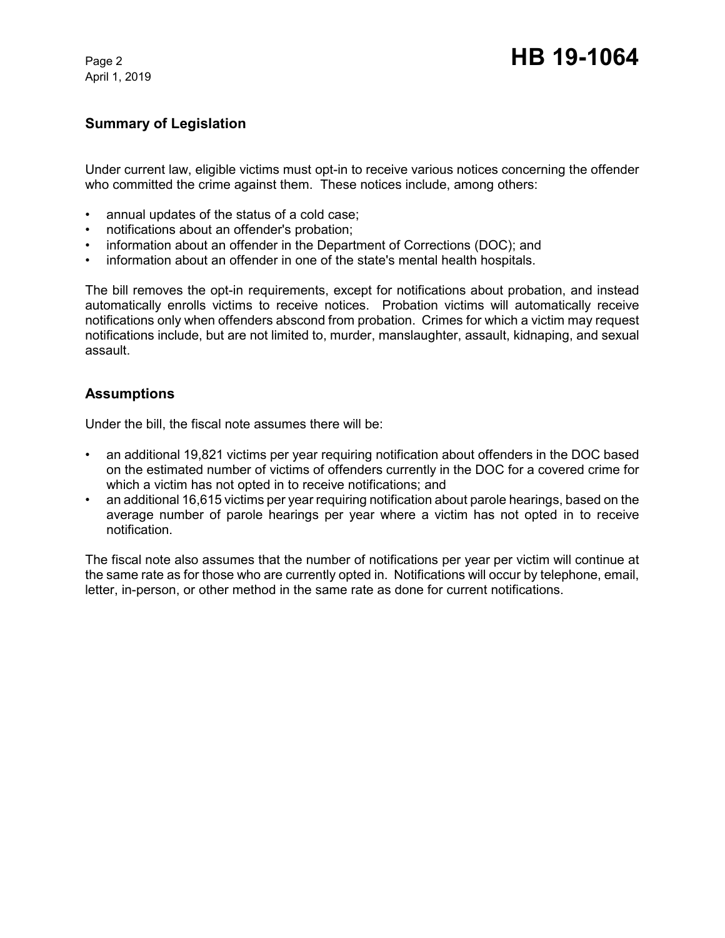April 1, 2019

# **Summary of Legislation**

Under current law, eligible victims must opt-in to receive various notices concerning the offender who committed the crime against them. These notices include, among others:

- annual updates of the status of a cold case;
- notifications about an offender's probation;
- information about an offender in the Department of Corrections (DOC); and
- information about an offender in one of the state's mental health hospitals.

The bill removes the opt-in requirements, except for notifications about probation, and instead automatically enrolls victims to receive notices. Probation victims will automatically receive notifications only when offenders abscond from probation. Crimes for which a victim may request notifications include, but are not limited to, murder, manslaughter, assault, kidnaping, and sexual assault.

## **Assumptions**

Under the bill, the fiscal note assumes there will be:

- an additional 19,821 victims per year requiring notification about offenders in the DOC based on the estimated number of victims of offenders currently in the DOC for a covered crime for which a victim has not opted in to receive notifications; and
- an additional 16,615 victims per year requiring notification about parole hearings, based on the average number of parole hearings per year where a victim has not opted in to receive notification.

The fiscal note also assumes that the number of notifications per year per victim will continue at the same rate as for those who are currently opted in. Notifications will occur by telephone, email, letter, in-person, or other method in the same rate as done for current notifications.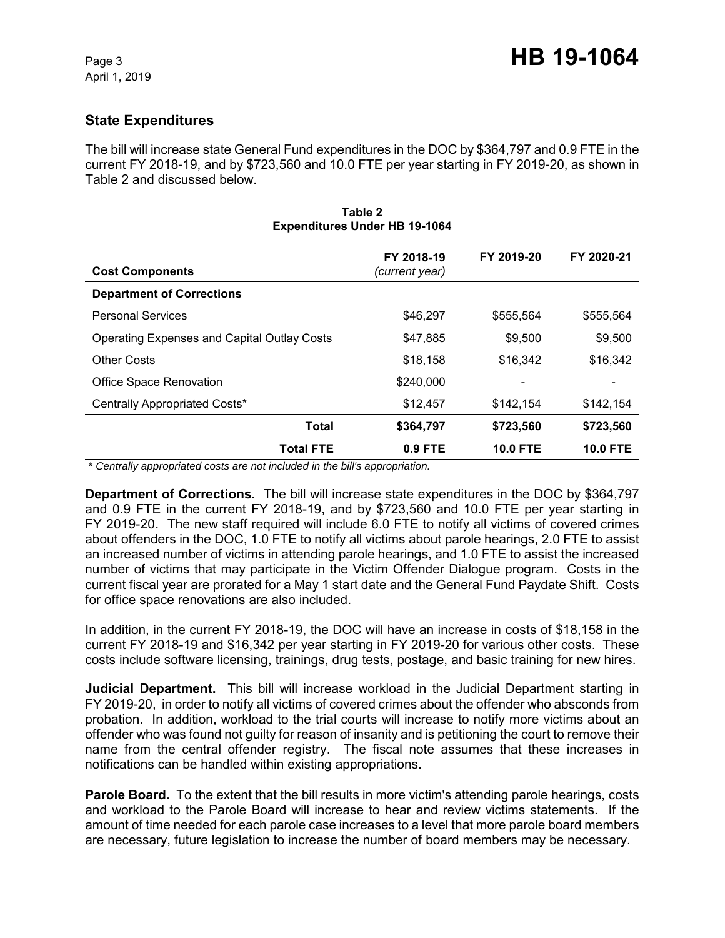# **State Expenditures**

The bill will increase state General Fund expenditures in the DOC by \$364,797 and 0.9 FTE in the current FY 2018-19, and by \$723,560 and 10.0 FTE per year starting in FY 2019-20, as shown in Table 2 and discussed below.

| <b>Cost Components</b>                             | FY 2018-19<br>(current year) | FY 2019-20      | FY 2020-21      |
|----------------------------------------------------|------------------------------|-----------------|-----------------|
| <b>Department of Corrections</b>                   |                              |                 |                 |
| <b>Personal Services</b>                           | \$46.297                     | \$555,564       | \$555,564       |
| <b>Operating Expenses and Capital Outlay Costs</b> | \$47,885                     | \$9,500         | \$9,500         |
| Other Costs                                        | \$18,158                     | \$16,342        | \$16,342        |
| <b>Office Space Renovation</b>                     | \$240,000                    |                 |                 |
| Centrally Appropriated Costs*                      | \$12,457                     | \$142,154       | \$142,154       |
| <b>Total</b>                                       | \$364,797                    | \$723,560       | \$723,560       |
| <b>Total FTE</b>                                   | $0.9$ FTE                    | <b>10.0 FTE</b> | <b>10.0 FTE</b> |

#### **Table 2 Expenditures Under HB 19-1064**

 *\* Centrally appropriated costs are not included in the bill's appropriation.*

**Department of Corrections.** The bill will increase state expenditures in the DOC by \$364,797 and 0.9 FTE in the current FY 2018-19, and by \$723,560 and 10.0 FTE per year starting in FY 2019-20. The new staff required will include 6.0 FTE to notify all victims of covered crimes about offenders in the DOC, 1.0 FTE to notify all victims about parole hearings, 2.0 FTE to assist an increased number of victims in attending parole hearings, and 1.0 FTE to assist the increased number of victims that may participate in the Victim Offender Dialogue program. Costs in the current fiscal year are prorated for a May 1 start date and the General Fund Paydate Shift. Costs for office space renovations are also included.

In addition, in the current FY 2018-19, the DOC will have an increase in costs of \$18,158 in the current FY 2018-19 and \$16,342 per year starting in FY 2019-20 for various other costs. These costs include software licensing, trainings, drug tests, postage, and basic training for new hires.

**Judicial Department.** This bill will increase workload in the Judicial Department starting in FY 2019-20, in order to notify all victims of covered crimes about the offender who absconds from probation. In addition, workload to the trial courts will increase to notify more victims about an offender who was found not guilty for reason of insanity and is petitioning the court to remove their name from the central offender registry. The fiscal note assumes that these increases in notifications can be handled within existing appropriations.

**Parole Board.** To the extent that the bill results in more victim's attending parole hearings, costs and workload to the Parole Board will increase to hear and review victims statements. If the amount of time needed for each parole case increases to a level that more parole board members are necessary, future legislation to increase the number of board members may be necessary.